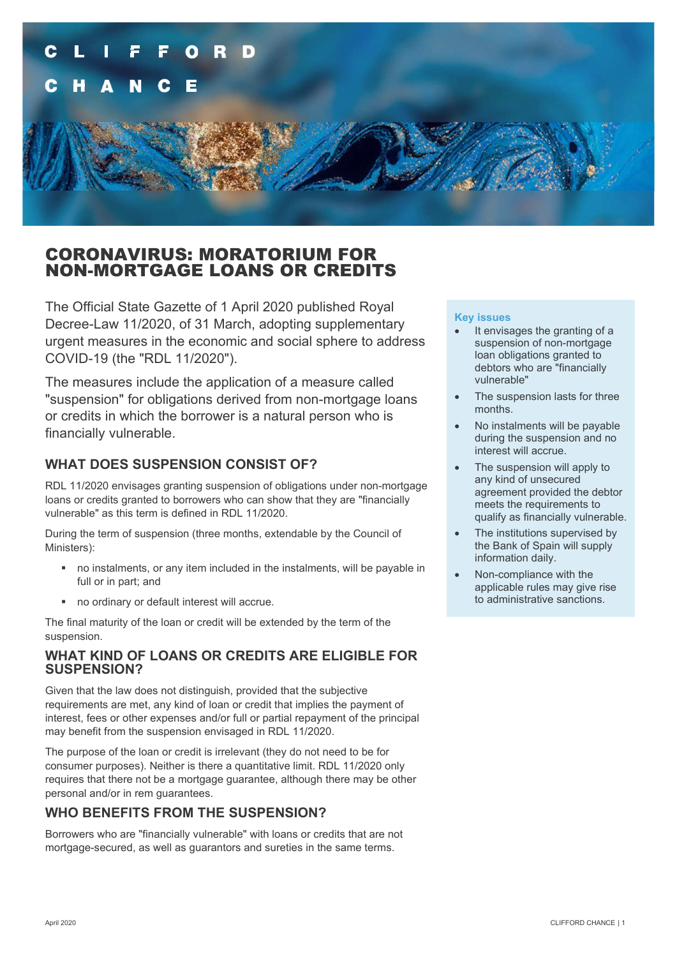

### CORONAVIRUS: MORATORIUM FOR NON-MORTGAGE LOANS OR CREDITS

The Official State Gazette of 1 April 2020 published Royal Decree-Law 11/2020, of 31 March, adopting supplementary urgent measures in the economic and social sphere to address COVID-19 (the "RDL 11/2020").

The measures include the application of a measure called "suspension" for obligations derived from non-mortgage loans or credits in which the borrower is a natural person who is financially vulnerable.

#### **WHAT DOES SUSPENSION CONSIST OF?**

RDL 11/2020 envisages granting suspension of obligations under non-mortgage loans or credits granted to borrowers who can show that they are "financially vulnerable" as this term is defined in RDL 11/2020.

During the term of suspension (three months, extendable by the Council of Ministers):

- no instalments, or any item included in the instalments, will be payable in full or in part; and
- no ordinary or default interest will accrue.

The final maturity of the loan or credit will be extended by the term of the suspension.

#### **WHAT KIND OF LOANS OR CREDITS ARE ELIGIBLE FOR SUSPENSION?**

Given that the law does not distinguish, provided that the subjective requirements are met, any kind of loan or credit that implies the payment of interest, fees or other expenses and/or full or partial repayment of the principal may benefit from the suspension envisaged in RDL 11/2020.

The purpose of the loan or credit is irrelevant (they do not need to be for consumer purposes). Neither is there a quantitative limit. RDL 11/2020 only requires that there not be a mortgage guarantee, although there may be other personal and/or in rem guarantees.

### **WHO BENEFITS FROM THE SUSPENSION?**

Borrowers who are "financially vulnerable" with loans or credits that are not mortgage-secured, as well as guarantors and sureties in the same terms.

#### **Key issues**

- It envisages the granting of a suspension of non-mortgage loan obligations granted to debtors who are "financially vulnerable"
- The suspension lasts for three months.
- No instalments will be payable during the suspension and no interest will accrue.
- The suspension will apply to any kind of unsecured agreement provided the debtor meets the requirements to qualify as financially vulnerable.
- The institutions supervised by the Bank of Spain will supply information daily.
- Non-compliance with the applicable rules may give rise to administrative sanctions.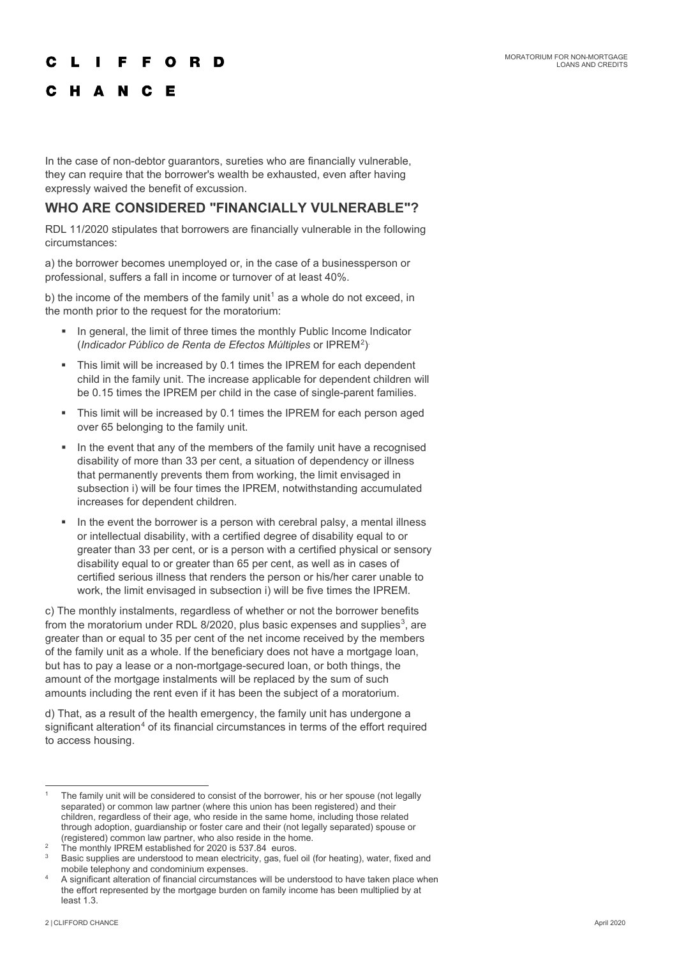#### F. F. O R D

#### C H A N C E

In the case of non-debtor guarantors, sureties who are financially vulnerable, they can require that the borrower's wealth be exhausted, even after having expressly waived the benefit of excussion.

#### WHO ARE CONSIDERED "FINANCIALLY VULNERABLE"?

RDL 11/2020 stipulates that borrowers are financially vulnerable in the following circumstances:

a) the borrower becomes unemployed or, in the case of a businessperson or professional, suffers a fall in income or turnover of at least 40%.

b) the income of the members of the family unit<sup>[1](#page-1-0)</sup> as a whole do not exceed, in the month prior to the request for the moratorium:

- In general, the limit of three times the monthly Public Income Indicator (*Indicador Público de Renta de Efectos Múltiples* or IPREM[2](#page-1-1) ) .
- This limit will be increased by 0.1 times the IPREM for each dependent child in the family unit. The increase applicable for dependent children will be 0.15 times the IPREM per child in the case of single-parent families.
- This limit will be increased by 0.1 times the IPREM for each person aged over 65 belonging to the family unit.
- In the event that any of the members of the family unit have a recognised disability of more than 33 per cent, a situation of dependency or illness that permanently prevents them from working, the limit envisaged in subsection i) will be four times the IPREM, notwithstanding accumulated increases for dependent children.
- In the event the borrower is a person with cerebral palsy, a mental illness or intellectual disability, with a certified degree of disability equal to or greater than 33 per cent, or is a person with a certified physical or sensory disability equal to or greater than 65 per cent, as well as in cases of certified serious illness that renders the person or his/her carer unable to work, the limit envisaged in subsection i) will be five times the IPREM.

c) The monthly instalments, regardless of whether or not the borrower benefits from the moratorium under RDL 8/2020, plus basic expenses and supplies $^3$  $^3$ , are greater than or equal to 35 per cent of the net income received by the members of the family unit as a whole. If the beneficiary does not have a mortgage loan, but has to pay a lease or a non-mortgage-secured loan, or both things, the amount of the mortgage instalments will be replaced by the sum of such amounts including the rent even if it has been the subject of a moratorium.

d) That, as a result of the health emergency, the family unit has undergone a significant alteration<sup>[4](#page-1-3)</sup> of its financial circumstances in terms of the effort required to access housing.

<span id="page-1-0"></span>The family unit will be considered to consist of the borrower, his or her spouse (not legally separated) or common law partner (where this union has been registered) and their children, regardless of their age, who reside in the same home, including those related through adoption, guardianship or foster care and their (not legally separated) spouse or (registered) common law partner, who also reside in the home.

<span id="page-1-1"></span> $\frac{2}{3}$  The monthly IPREM established for 2020 is 537.84 euros.

<span id="page-1-2"></span>Basic supplies are understood to mean electricity, gas, fuel oil (for heating), water, fixed and mobile telephony and condominium expenses.

<span id="page-1-3"></span><sup>4</sup> A significant alteration of financial circumstances will be understood to have taken place when the effort represented by the mortgage burden on family income has been multiplied by at least 1.3.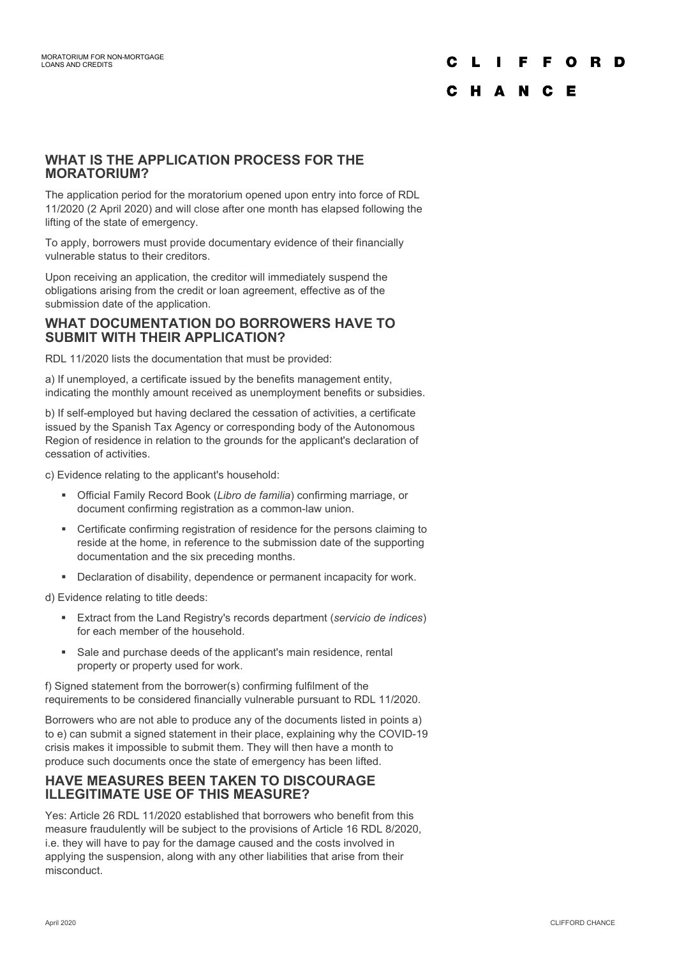# F O R D

### C H A N C E

#### **WHAT IS THE APPLICATION PROCESS FOR THE MORATORIUM?**

The application period for the moratorium opened upon entry into force of RDL 11/2020 (2 April 2020) and will close after one month has elapsed following the lifting of the state of emergency.

To apply, borrowers must provide documentary evidence of their financially vulnerable status to their creditors.

Upon receiving an application, the creditor will immediately suspend the obligations arising from the credit or loan agreement, effective as of the submission date of the application.

#### **WHAT DOCUMENTATION DO BORROWERS HAVE TO SUBMIT WITH THEIR APPLICATION?**

RDL 11/2020 lists the documentation that must be provided:

a) If unemployed, a certificate issued by the benefits management entity, indicating the monthly amount received as unemployment benefits or subsidies.

b) If self-employed but having declared the cessation of activities, a certificate issued by the Spanish Tax Agency or corresponding body of the Autonomous Region of residence in relation to the grounds for the applicant's declaration of cessation of activities.

c) Evidence relating to the applicant's household:

- Official Family Record Book (*Libro de familia*) confirming marriage, or document confirming registration as a common-law union.
- Certificate confirming registration of residence for the persons claiming to reside at the home, in reference to the submission date of the supporting documentation and the six preceding months.
- **•** Declaration of disability, dependence or permanent incapacity for work.

d) Evidence relating to title deeds:

- Extract from the Land Registry's records department (*servicio de índices*) for each member of the household.
- Sale and purchase deeds of the applicant's main residence, rental property or property used for work.

f) Signed statement from the borrower(s) confirming fulfilment of the requirements to be considered financially vulnerable pursuant to RDL 11/2020.

Borrowers who are not able to produce any of the documents listed in points a) to e) can submit a signed statement in their place, explaining why the COVID-19 crisis makes it impossible to submit them. They will then have a month to produce such documents once the state of emergency has been lifted.

#### **HAVE MEASURES BEEN TAKEN TO DISCOURAGE ILLEGITIMATE USE OF THIS MEASURE?**

Yes: Article 26 RDL 11/2020 established that borrowers who benefit from this measure fraudulently will be subject to the provisions of Article 16 RDL 8/2020, i.e. they will have to pay for the damage caused and the costs involved in applying the suspension, along with any other liabilities that arise from their misconduct.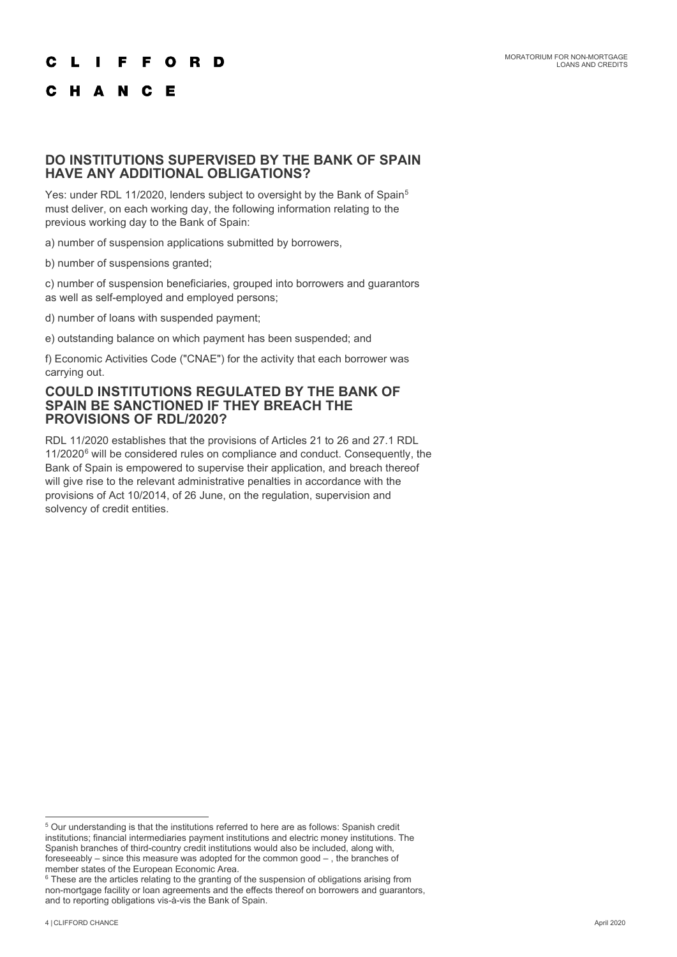#### **FFORD** C  $\mathbf{L}$

#### C H A N C E

#### **DO INSTITUTIONS SUPERVISED BY THE BANK OF SPAIN HAVE ANY ADDITIONAL OBLIGATIONS?**

Yes: under RDL 11/2020, lenders subject to oversight by the Bank of Spain<sup>[5](#page-3-0)</sup> must deliver, on each working day, the following information relating to the previous working day to the Bank of Spain:

a) number of suspension applications submitted by borrowers,

b) number of suspensions granted;

c) number of suspension beneficiaries, grouped into borrowers and guarantors as well as self-employed and employed persons;

d) number of loans with suspended payment;

e) outstanding balance on which payment has been suspended; and

f) Economic Activities Code ("CNAE") for the activity that each borrower was carrying out.

#### **COULD INSTITUTIONS REGULATED BY THE BANK OF SPAIN BE SANCTIONED IF THEY BREACH THE PROVISIONS OF RDL/2020?**

RDL 11/2020 establishes that the provisions of Articles 21 to 26 and 27.1 RDL 11/2020<sup>[6](#page-3-1)</sup> will be considered rules on compliance and conduct. Consequently, the Bank of Spain is empowered to supervise their application, and breach thereof will give rise to the relevant administrative penalties in accordance with the provisions of Act 10/2014, of 26 June, on the regulation, supervision and solvency of credit entities.

<span id="page-3-0"></span> $5$  Our understanding is that the institutions referred to here are as follows: Spanish credit institutions; financial intermediaries payment institutions and electric money institutions. The Spanish branches of third-country credit institutions would also be included, along with, foreseeably – since this measure was adopted for the common good – , the branches of member states of the European Economic Area.

<span id="page-3-1"></span> $^6$  These are the articles relating to the granting of the suspension of obligations arising from non-mortgage facility or loan agreements and the effects thereof on borrowers and guarantors, and to reporting obligations vis-à-vis the Bank of Spain.